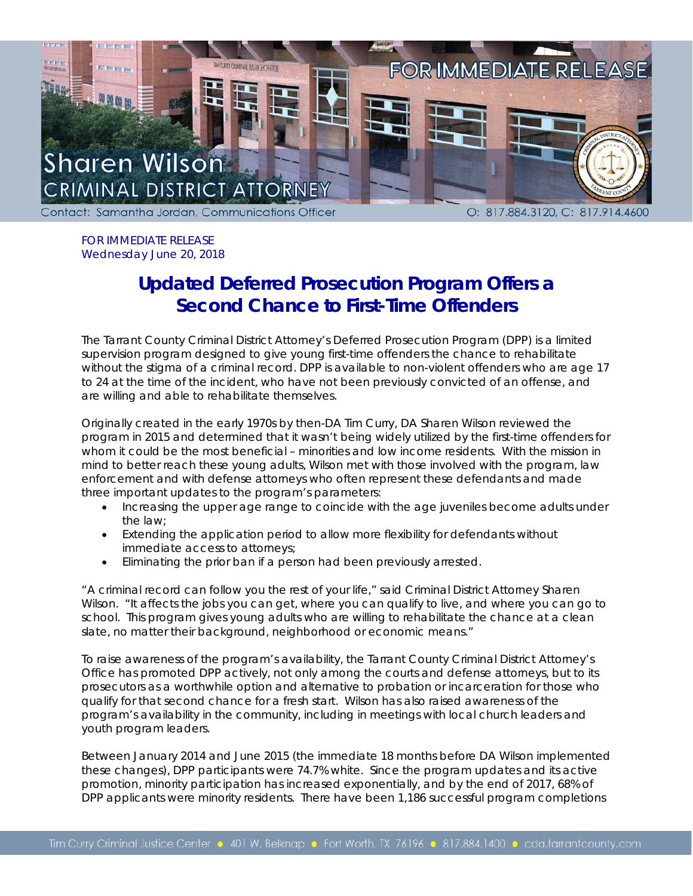

FOR IMMEDIATE RELEASE Wednesday June 20, 2018

## **Updated Deferred Prosecution Program Offers a Second Chance to First-Time Offenders**

The Tarrant County Criminal District Attorney's Deferred Prosecution Program (DPP) is a limited supervision program designed to give young first-time offenders the chance to rehabilitate without the stigma of a criminal record. DPP is available to non-violent offenders who are age 17 to 24 at the time of the incident, who have not been previously convicted of an offense, and are willing and able to rehabilitate themselves.

Originally created in the early 1970s by then-DA Tim Curry, DA Sharen Wilson reviewed the program in 2015 and determined that it wasn't being widely utilized by the first-time offenders for whom it could be the most beneficial – minorities and low income residents. With the mission in mind to better reach these young adults, Wilson met with those involved with the program, law enforcement and with defense attorneys who often represent these defendants and made three important updates to the program's parameters:

- Increasing the upper age range to coincide with the age juveniles become adults under the law;
- Extending the application period to allow more flexibility for defendants without immediate access to attorneys;
- Eliminating the prior ban if a person had been previously arrested.

"A criminal record can follow you the rest of your life," said Criminal District Attorney Sharen Wilson. "It affects the jobs you can get, where you can qualify to live, and where you can go to school. This program gives young adults who are willing to rehabilitate the chance at a clean slate, no matter their background, neighborhood or economic means."

To raise awareness of the program's availability, the Tarrant County Criminal District Attorney's Office has promoted DPP actively, not only among the courts and defense attorneys, but to its prosecutors as a worthwhile option and alternative to probation or incarceration for those who qualify for that second chance for a fresh start. Wilson has also raised awareness of the program's availability in the community, including in meetings with local church leaders and youth program leaders.

Between January 2014 and June 2015 (the immediate 18 months before DA Wilson implemented these changes), DPP participants were 74.7% white. Since the program updates and its active promotion, minority participation has increased exponentially, and by the end of 2017, 68% of DPP applicants were minority residents. There have been 1,186 successful program completions